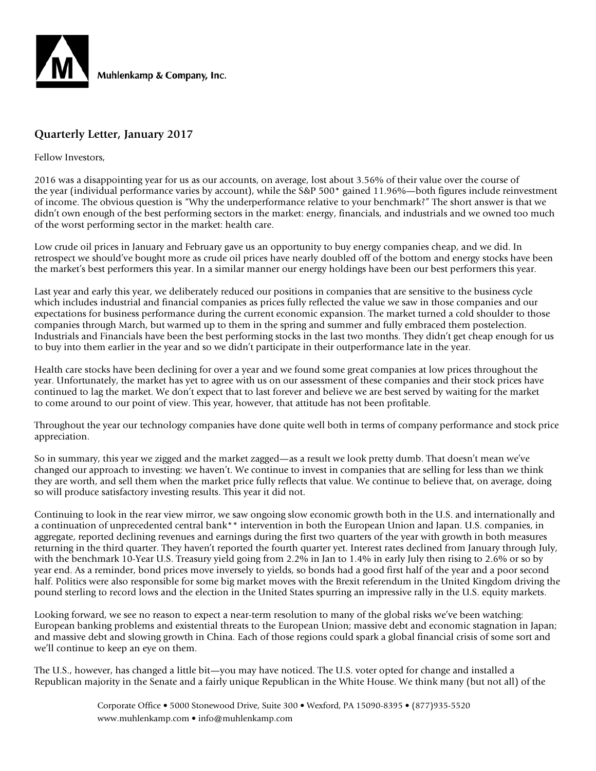

# **Quarterly Letter, January 2017**

#### Fellow Investors,

2016 was a disappointing year for us as our accounts, on average, lost about 3.56% of their value over the course of the year (individual performance varies by account), while the S&P 500\* gained 11.96%—both figures include reinvestment of income. The obvious question is "Why the underperformance relative to your benchmark?" The short answer is that we didn't own enough of the best performing sectors in the market: energy, financials, and industrials and we owned too much of the worst performing sector in the market: health care.

Low crude oil prices in January and February gave us an opportunity to buy energy companies cheap, and we did. In retrospect we should've bought more as crude oil prices have nearly doubled off of the bottom and energy stocks have been the market's best performers this year. In a similar manner our energy holdings have been our best performers this year.

Last year and early this year, we deliberately reduced our positions in companies that are sensitive to the business cycle which includes industrial and financial companies as prices fully reflected the value we saw in those companies and our expectations for business performance during the current economic expansion. The market turned a cold shoulder to those companies through March, but warmed up to them in the spring and summer and fully embraced them postelection. Industrials and Financials have been the best performing stocks in the last two months. They didn't get cheap enough for us to buy into them earlier in the year and so we didn't participate in their outperformance late in the year.

Health care stocks have been declining for over a year and we found some great companies at low prices throughout the year. Unfortunately, the market has yet to agree with us on our assessment of these companies and their stock prices have continued to lag the market. We don't expect that to last forever and believe we are best served by waiting for the market to come around to our point of view. This year, however, that attitude has not been profitable.

Throughout the year our technology companies have done quite well both in terms of company performance and stock price appreciation.

So in summary, this year we zigged and the market zagged—as a result we look pretty dumb. That doesn't mean we've changed our approach to investing: we haven't. We continue to invest in companies that are selling for less than we think they are worth, and sell them when the market price fully reflects that value. We continue to believe that, on average, doing so will produce satisfactory investing results. This year it did not.

Continuing to look in the rear view mirror, we saw ongoing slow economic growth both in the U.S. and internationally and a continuation of unprecedented central bank\*\* intervention in both the European Union and Japan. U.S. companies, in aggregate, reported declining revenues and earnings during the first two quarters of the year with growth in both measures returning in the third quarter. They haven't reported the fourth quarter yet. Interest rates declined from January through July, with the benchmark 10-Year U.S. Treasury yield going from 2.2% in Jan to 1.4% in early July then rising to 2.6% or so by year end. As a reminder, bond prices move inversely to yields, so bonds had a good first half of the year and a poor second half. Politics were also responsible for some big market moves with the Brexit referendum in the United Kingdom driving the pound sterling to record lows and the election in the United States spurring an impressive rally in the U.S. equity markets.

Looking forward, we see no reason to expect a near-term resolution to many of the global risks we've been watching: European banking problems and existential threats to the European Union; massive debt and economic stagnation in Japan; and massive debt and slowing growth in China. Each of those regions could spark a global financial crisis of some sort and we'll continue to keep an eye on them.

The U.S., however, has changed a little bit—you may have noticed. The U.S. voter opted for change and installed a Republican majority in the Senate and a fairly unique Republican in the White House. We think many (but not all) of the

> Corporate Office • 5000 Stonewood Drive, Suite 300 • Wexford, PA 15090-8395 • (877)935-5520 www.muhlenkamp.com • info@muhlenkamp.com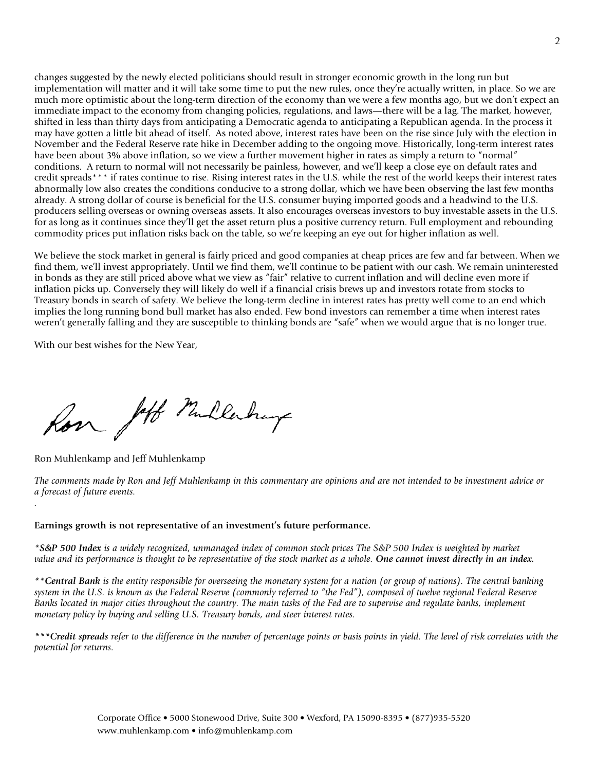changes suggested by the newly elected politicians should result in stronger economic growth in the long run but implementation will matter and it will take some time to put the new rules, once they're actually written, in place. So we are much more optimistic about the long-term direction of the economy than we were a few months ago, but we don't expect an immediate impact to the economy from changing policies, regulations, and laws—there will be a lag. The market, however, shifted in less than thirty days from anticipating a Democratic agenda to anticipating a Republican agenda. In the process it may have gotten a little bit ahead of itself. As noted above, interest rates have been on the rise since July with the election in November and the Federal Reserve rate hike in December adding to the ongoing move. Historically, long-term interest rates have been about 3% above inflation, so we view a further movement higher in rates as simply a return to "normal" conditions. A return to normal will not necessarily be painless, however, and we'll keep a close eye on default rates and credit spreads\*\*\* if rates continue to rise. Rising interest rates in the U.S. while the rest of the world keeps their interest rates abnormally low also creates the conditions conducive to a strong dollar, which we have been observing the last few months already. A strong dollar of course is beneficial for the U.S. consumer buying imported goods and a headwind to the U.S. producers selling overseas or owning overseas assets. It also encourages overseas investors to buy investable assets in the U.S. for as long as it continues since they'll get the asset return plus a positive currency return. Full employment and rebounding commodity prices put inflation risks back on the table, so we're keeping an eye out for higher inflation as well.

We believe the stock market in general is fairly priced and good companies at cheap prices are few and far between. When we find them, we'll invest appropriately. Until we find them, we'll continue to be patient with our cash. We remain uninterested in bonds as they are still priced above what we view as "fair" relative to current inflation and will decline even more if inflation picks up. Conversely they will likely do well if a financial crisis brews up and investors rotate from stocks to Treasury bonds in search of safety. We believe the long-term decline in interest rates has pretty well come to an end which implies the long running bond bull market has also ended. Few bond investors can remember a time when interest rates weren't generally falling and they are susceptible to thinking bonds are "safe" when we would argue that is no longer true.

With our best wishes for the New Year,

for Joff Mullerburg

Ron Muhlenkamp and Jeff Muhlenkamp

*.*

*The comments made by Ron and Jeff Muhlenkamp in this commentary are opinions and are not intended to be investment advice or a forecast of future events.* 

#### **Earnings growth is not representative of an investment's future performance.**

*\*S&P 500 Index is a widely recognized, unmanaged index of common stock prices The S&P 500 Index is weighted by market value and its performance is thought to be representative of the stock market as a whole. One cannot invest directly in an index.*

*\*\*Central Bank is the entity responsible for overseeing the monetary system for a nation (or group of nations). The central banking system in the U.S. is known as the Federal Reserve (commonly referred to "the Fed"), composed of twelve regional Federal Reserve Banks located in major cities throughout the country. The main tasks of the Fed are to supervise and regulate banks, implement monetary policy by buying and selling U.S. Treasury bonds, and steer interest rates.*

*\*\*\*Credit spreads refer to the difference in the number of percentage points or basis points in yield. The level of risk correlates with the potential for returns.*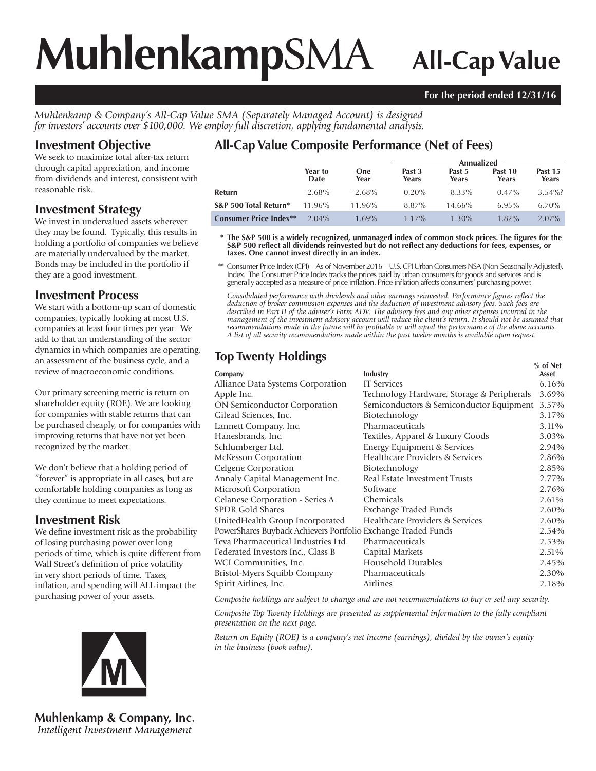# **Muhlenkamp**SMA **All-Cap Value**

#### **For the period ended 12/31/16**

*Muhlenkamp & Company's All-Cap Value SMA (Separately Managed Account) is designed for investors' accounts over \$100,000. We employ full discretion, applying fundamental analysis.*

# **Investment Objective**

We seek to maximize total after-tax return through capital appreciation, and income from dividends and interest, consistent with reasonable risk.

### **Investment Strategy**

We invest in undervalued assets wherever they may be found. Typically, this results in holding a portfolio of companies we believe are materially undervalued by the market. Bonds may be included in the portfolio if they are a good investment.

# **Investment Process**

We start with a bottom-up scan of domestic companies, typically looking at most U.S. companies at least four times per year. We add to that an understanding of the sector dynamics in which companies are operating, an assessment of the business cycle, and a review of macroeconomic conditions.

Our primary screening metric is return on shareholder equity (ROE). We are looking for companies with stable returns that can be purchased cheaply, or for companies with improving returns that have not yet been recognized by the market.

We don't believe that a holding period of "forever" is appropriate in all cases, but are comfortable holding companies as long as they continue to meet expectations.

# **Investment Risk**

We define investment risk as the probability of losing purchasing power over long periods of time, which is quite different from Wall Street's definition of price volatility in very short periods of time. Taxes, inflation, and spending will ALL impact the purchasing power of your assets.



**Muhlenkamp & Company, Inc.** Intelligent Investment Management

# **All-Cap Value Composite Performance (Net of Fees)**

|                               |                 |                    | Annualized <b>in the Annualized</b> |                 |                  |                  |  |
|-------------------------------|-----------------|--------------------|-------------------------------------|-----------------|------------------|------------------|--|
|                               | Year to<br>Date | <b>One</b><br>Year | Past 3<br>Years                     | Past 5<br>Years | Past 10<br>Years | Past 15<br>Years |  |
| Refurn                        | $-2.68\%$       | $-2.68\%$          | $0.20\%$                            | 8.33%           | $0.47\%$         | $3.54\%$ ?       |  |
| S&P 500 Total Return*         | $11.96\%$       | $11.96\%$          | 8.87%                               | $14.66\%$       | 6.95%            | $6.70\%$         |  |
| <b>Consumer Price Index**</b> | $2.04\%$        | $1.69\%$           | $1.17\%$                            | $1.30\%$        | $1.82\%$         | $2.07\%$         |  |

\* The S&P 500 is a widely recognized, unmanaged index of common stock prices. The figures for the S&P 500 reflect all dividends reinvested but do not reflect any deductions for fees, expenses, or **taxes. One cannot invest directly in an index.**

 \*\* Consumer Price Index (CPI) – As of November 2016 – U.S. CPI Urban Consumers NSA (Non-Seasonally Adjusted), Index. The Consumer Price Index tracks the prices paid by urban consumers for goods and services and is generally accepted as a measure of price infl ation. Price infl ation affects consumers' purchasing power.

Consolidated performance with dividends and other earnings reinvested. Performance figures reflect the *deduction of broker commission expenses and the deduction of investment advisory fees. Such fees are described in Part II of the adviser's Form ADV. The advisory fees and any other expenses incurred in the management of the investment advisory account will reduce the client's return. It should not be assumed that recommendations made in the future will be profi table or will equal the performance of the above accounts. A list of all security recommendations made within the past twelve months is available upon request.*

# **Top Twenty Holdings**

|                                                               |                                            | $%$ of Net |
|---------------------------------------------------------------|--------------------------------------------|------------|
| Company                                                       | Industry                                   | Asset      |
| Alliance Data Systems Corporation                             | <b>IT Services</b>                         | 6.16%      |
| Apple Inc.                                                    | Technology Hardware, Storage & Peripherals | 3.69%      |
| <b>ON Semiconductor Corporation</b>                           | Semiconductors & Semiconductor Equipment   | 3.57%      |
| Gilead Sciences, Inc.                                         | Biotechnology                              | 3.17%      |
| Lannett Company, Inc.                                         | Pharmaceuticals                            | 3.11%      |
| Hanesbrands, Inc.                                             | Textiles, Apparel & Luxury Goods           | 3.03%      |
| Schlumberger Ltd.                                             | Energy Equipment & Services                | 2.94%      |
| McKesson Corporation                                          | Healthcare Providers & Services            | 2.86%      |
| Celgene Corporation                                           | Biotechnology                              | 2.85%      |
| Annaly Capital Management Inc.                                | Real Estate Investment Trusts              | 2.77%      |
| Microsoft Corporation                                         | Software                                   | 2.76%      |
| Celanese Corporation - Series A                               | Chemicals                                  | 2.61%      |
| <b>SPDR Gold Shares</b>                                       | Exchange Traded Funds                      | 2.60%      |
| UnitedHealth Group Incorporated                               | Healthcare Providers & Services            | 2.60%      |
| PowerShares Buyback Achievers Portfolio Exchange Traded Funds |                                            | 2.54%      |
| Teva Pharmaceutical Industries Ltd.                           | Pharmaceuticals                            | 2.53%      |
| Federated Investors Inc., Class B                             | Capital Markets                            | 2.51%      |
| WCI Communities, Inc.                                         | Household Durables                         | 2.45%      |
| Bristol-Myers Squibb Company                                  | Pharmaceuticals                            | 2.30%      |
| Spirit Airlines, Inc.                                         | Airlines                                   | 2.18%      |
|                                                               |                                            |            |

*Composite holdings are subject to change and are not recommendations to buy or sell any security.*

*Composite Top Twenty Holdings are presented as supplemental information to the fully compliant presentation on the next page.*

*Return on Equity (ROE) is a company's net income (earnings), divided by the owner's equity in the business (book value).*